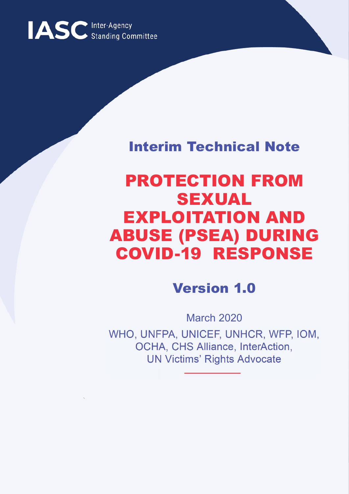

### Interim Technical Note

## PROTECTION FROM SEXUAL EXPLOITATION AND ABUSE (PSEA) DURING COVID-19 RESPONSE

### Version 1.0

March 2020 WHO, UNFPA, UNICEF, UNHCR, WFP, IOM,<br>OCHA, CHS Alliance, InterAction, **OCHA, OTIO Alliance, InterAction,** UN Victims **Rights Advocate**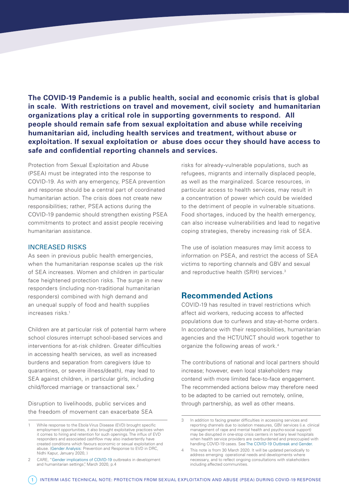**The COVID-19 Pandemic is a public health, social and economic crisis that is global in scale. With restrictions on travel and movement, civil society and humanitarian organizations play a critical role in supporting governments to respond. All people should remain safe from sexual exploitation and abuse while receiving humanitarian aid, including health services and treatment, without abuse or exploitation. If sexual exploitation or abuse does occur they should have access to safe and confidential reporting channels and services.**

Protection from Sexual Exploitation and Abuse (PSEA) must be integrated into the response to COVID-19. As with any emergency, PSEA prevention and response should be a central part of coordinated humanitarian action. The crisis does not create new responsibilities; rather, PSEA actions during the COVID-19 pandemic should strengthen existing PSEA commitments to protect and assist people receiving humanitarian assistance.

#### INCREASED RISKS

As seen in previous public health emergencies, when the humanitarian response scales up the risk of SEA increases. Women and children in particular face heightened protection risks. The surge in new responders (including non-traditional humanitarian responders) combined with high demand and an unequal supply of food and health supplies increases risks.1

Children are at particular risk of potential harm where school closures interrupt school-based services and interventions for at-risk children. Greater difficulties in accessing health services, as well as increased burdens and separation from caregivers (due to quarantines, or severe illness/death), may lead to SEA against children, in particular girls, including child/forced marriage or transactional sex.<sup>2</sup>

Disruption to livelihoods, public services and the freedom of movement can exacerbate SEA risks for already-vulnerable populations, such as refugees, migrants and internally displaced people, as well as the marginalized. Scarce resources, in particular access to health services, may result in a concentration of power which could be wielded to the detriment of people in vulnerable situations. Food shortages, induced by the health emergency, can also increase vulnerabilities and lead to negative coping strategies, thereby increasing risk of SEA.

The use of isolation measures may limit access to information on PSEA, and restrict the access of SEA victims to reporting channels and GBV and sexual and reproductive health (SRH) services.<sup>3</sup>

#### **Recommended Actions**

COVID-19 has resulted in travel restrictions which affect aid workers, reducing access to affected populations due to curfews and stay-at-home orders. In accordance with their responsibilities, humanitarian agencies and the HCT/UNCT should work together to organize the following areas of work.4

The contributions of national and local partners should increase; however, even local stakeholders may contend with more limited face-to-face engagement. The recommended actions below may therefore need to be adapted to be carried out remotely, online, through partnership, as well as other means.

<sup>1</sup> While response to the Ebola Virus Disease (EVD) brought specific employment opportunities, it also brought exploitative practices when it comes to hiring and retention for such openings. The influx of EVD responders and associated cashflow may also inadvertently have created conditions which favours economic or sexual exploitation and abuse. ([Gender Analysis:](https://www.care-international.org/files/files/Ebola_Gender_Analysis_English_v2.pdf) Prevention and Response to EVD in DRC, Nidhi Kapur, January 2020, )

<sup>2</sup> CARE, "[Gender implications of COVID-19](https://www.care-international.org/files/files/Gendered_Implications_of_COVID-19_Full_Paper.pdf) outbreaks in development and humanitarian settings", March 2020, p.4

<sup>3</sup> In addition to facing greater difficulties in accessing services and reporting channels due to isolation measures, GBV services (i.e. clinical management of rape and mental health and psycho-social support) may be disrupted in one-stop crisis centers in tertiary level hospitals when health service providers are overburdened and preoccupied with handling COVID-19 cases. See [The COVID-19 Outbreak and Gender.](https://gbvguidelines.org/wp/wp-content/uploads/2020/03/GiHA-WG-advocacy-brief-final.pdf)

<sup>4</sup> This note is from 30 March 2020. It will be updated periodically to address emerging operational needs and developments where necessary, and to reflect ongoing consultations with stakeholders including affected communities.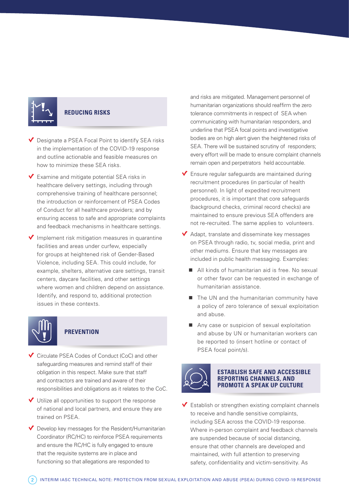

#### **REDUCING RISKS**

 $\vee$  Designate a PSEA Focal Point to identify SEA risks in the implementation of the COVID-19 response and outline actionable and feasible measures on how to minimize these SEA risks.

 $\vee$  Examine and mitigate potential SEA risks in healthcare delivery settings, including through comprehensive training of healthcare personnel; the introduction or reinforcement of PSEA Codes of Conduct for all healthcare providers; and by ensuring access to safe and appropriate complaints and feedback mechanisms in healthcare settings.

 $\blacktriangledown$  Implement risk mitigation measures in quarantine facilities and areas under curfew, especially for groups at heightened risk of Gender-Based Violence, including SEA. This could include, for example, shelters, alternative care settings, transit centers, daycare facilities, and other settings where women and children depend on assistance. Identify, and respond to, additional protection issues in these contexts.



#### **PREVENTION**

◆ Circulate PSEA Codes of Conduct (CoC) and other safeguarding measures and remind staff of their obligation in this respect. Make sure that staff and contractors are trained and aware of their responsibilities and obligations as it relates to the CoC.

 $\vee$  Utilize all opportunities to support the response of national and local partners, and ensure they are trained on PSEA.

 $\vee$  Develop key messages for the Resident/Humanitarian Coordinator (RC/HC) to reinforce PSEA requirements and ensure the RC/HC is fully engaged to ensure that the requisite systems are in place and functioning so that allegations are responded to

and risks are mitigated. Management personnel of humanitarian organizations should reaffirm the zero tolerance commitments in respect of SEA when communicating with humanitarian responders, and underline that PSEA focal points and investigative bodies are on high alert given the heightened risks of SEA. There will be sustained scrutiny of responders; every effort will be made to ensure complaint channels remain open and perpetrators held accountable.

 $\blacktriangledown$  Ensure regular safeguards are maintained during recruitment procedures (in particular of health personnel). In light of expedited recruitment procedures, it is important that core safeguards (background checks, criminal record checks) are maintained to ensure previous SEA offenders are not re-recruited. The same applies to volunteers.

 $\blacktriangleright$  Adapt, translate and disseminate key messages on PSEA through radio, tv, social media, print and other mediums. Ensure that key messages are included in public health messaging. Examples:

- All kinds of humanitarian aid is free. No sexual or other favor can be requested in exchange of humanitarian assistance.
- $\blacksquare$  The UN and the humanitarian community have a policy of zero tolerance of sexual exploitation and abuse.
- $\blacksquare$  Any case or suspicion of sexual exploitation and abuse by UN or humanitarian workers can be reported to (insert hotline or contact of PSEA focal point/s).



#### **ESTABLISH SAFE AND ACCESSIBLE REPORTING CHANNELS, AND PROMOTE A SPEAK UP CULTURE**

 $\checkmark$  Establish or strengthen existing complaint channels to receive and handle sensitive complaints, including SEA across the COVID-19 response. Where in-person complaint and feedback channels are suspended because of social distancing, ensure that other channels are developed and maintained, with full attention to preserving safety, confidentiality and victim-sensitivity. As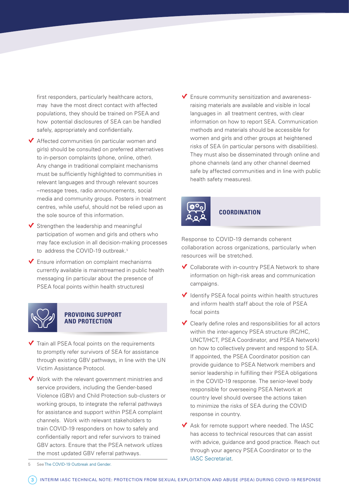first responders, particularly healthcare actors, may have the most direct contact with affected populations, they should be trained on PSEA and how potential disclosures of SEA can be handled safely, appropriately and confidentially.

- $\blacktriangledown$  Affected communities (in particular women and girls) should be consulted on preferred alternatives to in-person complaints (phone, online, other). Any change in traditional complaint mechanisms must be sufficiently highlighted to communities in relevant languages and through relevant sources –message trees, radio announcements, social media and community groups. Posters in treatment centres, while useful, should not be relied upon as the sole source of this information.
- $\blacktriangleright$  Strengthen the leadership and meaningful participation of women and girls and others who may face exclusion in all decision-making processes to address the COVID-19 outbreak.<sup>5</sup>
- $\blacktriangledown$  Ensure information on complaint mechanisms currently available is mainstreamed in public health messaging (in particular about the presence of PSEA focal points within health structures)



#### **PROVIDING SUPPORT AND PROTECTION**

- $\blacktriangledown$  Train all PSEA focal points on the requirements to promptly refer survivors of SEA for assistance through existing GBV pathways, in line with the UN Victim Assistance Protocol.
- $\vee$  Work with the relevant government ministries and service providers, including the Gender-based Violence (GBV) and Child Protection sub-clusters or working groups, to integrate the referral pathways for assistance and support within PSEA complaint channels. Work with relevant stakeholders to train COVID-19 responders on how to safely and confidentially report and refer survivors to trained GBV actors. Ensure that the PSEA network utlizes the most updated GBV referral pathways.

 $\blacktriangledown$  Ensure community sensitization and awarenessraising materials are available and visible in local languages in all treatment centres, with clear information on how to report SEA. Communication methods and materials should be accessible for women and girls and other groups at heightened risks of SEA (in particular persons with disabilities). They must also be disseminated through online and phone channels (and any other channel deemed safe by affected communities and in line with public health safety measures).



#### **COORDINATION**

Response to COVID-19 demands coherent collaboration across organizations, particularly when resources will be stretched.

- $\checkmark$  Collaborate with in-country PSEA Network to share information on high-risk areas and communication campaigns.
- $\blacktriangledown$  Identify PSEA focal points within health structures and inform health staff about the role of PSEA focal points
- $\checkmark$  Clearly define roles and responsibilities for all actors within the inter-agency PSEA structure (RC/HC, UNCT/HCT, PSEA Coordinator, and PSEA Network) on how to collectively prevent and respond to SEA. If appointed, the PSEA Coordinator position can provide guidance to PSEA Network members and senior leadership in fulfilling their PSEA obligations in the COVID-19 response. The senior-level body responsible for overseeing PSEA Network at country level should oversee the actions taken to minimize the risks of SEA during the COVID response in country.
- $\blacktriangledown$  Ask for remote support where needed. The IASC has access to technical resources that can assist with advice, guidance and good practice. Reach out through your agency PSEA Coordinator or to the [IASC Secretariat](mailto:iasccorrespondence%40un.org?subject=).

5 See [The COVID-19 Outbreak and Gender.](https://gbvguidelines.org/wp/wp-content/uploads/2020/03/GiHA-WG-advocacy-brief-final.pdf)